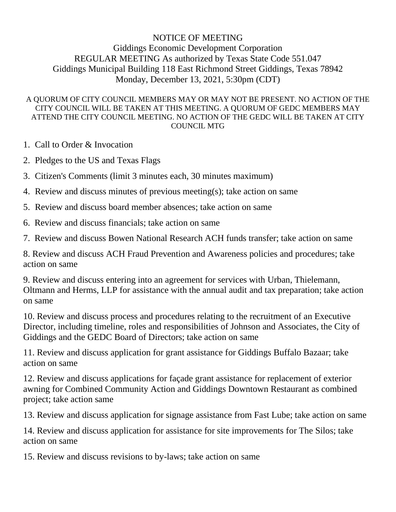## NOTICE OF MEETING Giddings Economic Development Corporation REGULAR MEETING As authorized by Texas State Code 551.047 Giddings Municipal Building 118 East Richmond Street Giddings, Texas 78942 Monday, December 13, 2021, 5:30pm (CDT)

## A QUORUM OF CITY COUNCIL MEMBERS MAY OR MAY NOT BE PRESENT. NO ACTION OF THE CITY COUNCIL WILL BE TAKEN AT THIS MEETING. A QUORUM OF GEDC MEMBERS MAY ATTEND THE CITY COUNCIL MEETING. NO ACTION OF THE GEDC WILL BE TAKEN AT CITY COUNCIL MTG

- 1. Call to Order & Invocation
- 2. Pledges to the US and Texas Flags
- 3. Citizen's Comments (limit 3 minutes each, 30 minutes maximum)
- 4. Review and discuss minutes of previous meeting(s); take action on same
- 5. Review and discuss board member absences; take action on same
- 6. Review and discuss financials; take action on same
- 7. Review and discuss Bowen National Research ACH funds transfer; take action on same

8. Review and discuss ACH Fraud Prevention and Awareness policies and procedures; take action on same

9. Review and discuss entering into an agreement for services with Urban, Thielemann, Oltmann and Herms, LLP for assistance with the annual audit and tax preparation; take action on same

10. Review and discuss process and procedures relating to the recruitment of an Executive Director, including timeline, roles and responsibilities of Johnson and Associates, the City of Giddings and the GEDC Board of Directors; take action on same

11. Review and discuss application for grant assistance for Giddings Buffalo Bazaar; take action on same

12. Review and discuss applications for façade grant assistance for replacement of exterior awning for Combined Community Action and Giddings Downtown Restaurant as combined project; take action same

13. Review and discuss application for signage assistance from Fast Lube; take action on same

14. Review and discuss application for assistance for site improvements for The Silos; take action on same

15. Review and discuss revisions to by-laws; take action on same